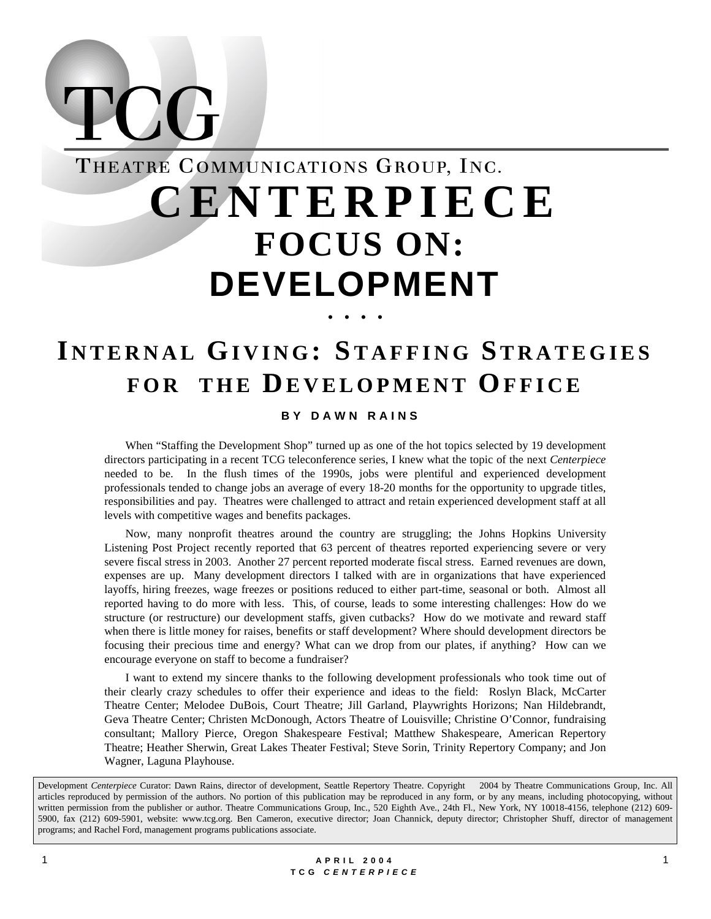

 $\sum$ 

# **I NTERNAL GIVING : STAFFING STRATEGIES FOR THE DEVELOPMENT OFFICE**

#### **BY DAWN RAINS**

When "Staffing the Development Shop" turned up as one of the hot topics selected by 19 development directors participating in a recent TCG teleconference series, I knew what the topic of the next *Centerpiece* needed to be. In the flush times of the 1990s, jobs were plentiful and experienced development professionals tended to change jobs an average of every 18-20 months for the opportunity to upgrade titles, responsibilities and pay. Theatres were challenged to attract and retain experienced development staff at all levels with competitive wages and benefits packages.

Now, many nonprofit theatres around the country are struggling; the Johns Hopkins University Listening Post Project recently reported that 63 percent of theatres reported experiencing severe or very severe fiscal stress in 2003. Another 27 percent reported moderate fiscal stress. Earned revenues are down, expenses are up. Many development directors I talked with are in organizations that have experienced layoffs, hiring freezes, wage freezes or positions reduced to either part-time, seasonal or both. Almost all reported having to do more with less. This, of course, leads to some interesting challenges: How do we structure (or restructure) our development staffs, given cutbacks? How do we motivate and reward staff when there is little money for raises, benefits or staff development? Where should development directors be focusing their precious time and energy? What can we drop from our plates, if anything? How can we encourage everyone on staff to become a fundraiser?

I want to extend my sincere thanks to the following development professionals who took time out of their clearly crazy schedules to offer their experience and ideas to the field: Roslyn Black, McCarter Theatre Center; Melodee DuBois, Court Theatre; Jill Garland, Playwrights Horizons; Nan Hildebrandt, Geva Theatre Center; Christen McDonough, Actors Theatre of Louisville; Christine O'Connor, fundraising consultant; Mallory Pierce, Oregon Shakespeare Festival; Matthew Shakespeare, American Repertory Theatre; Heather Sherwin, Great Lakes Theater Festival; Steve Sorin, Trinity Repertory Company; and Jon Wagner, Laguna Playhouse.

Development *Centerpiece* Curator: Dawn Rains, director of development, Seattle Repertory Theatre. Copyright © 2004 by Theatre Communications Group, Inc. All articles reproduced by permission of the authors. No portion of this publication may be reproduced in any form, or by any means, including photocopying, without written permission from the publisher or author. Theatre Communications Group, Inc., 520 Eighth Ave., 24th Fl., New York, NY 10018-4156, telephone (212) 609- 5900, fax (212) 609-5901, website: www.tcg.org. Ben Cameron, executive director; Joan Channick, deputy director; Christopher Shuff, director of management programs; and Rachel Ford, management programs publications associate.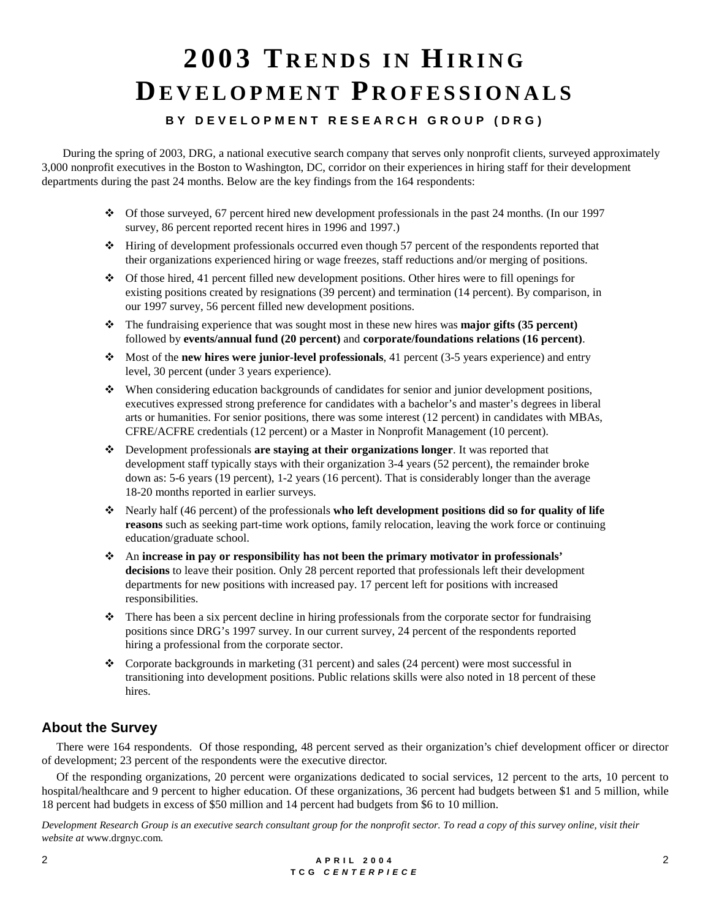# **2003 T RENDS IN HIRING DEVELOPMENT P ROFESSIONALS**

## **BY DEVELOPMENT RESEARCH GROUP (DRG)**

During the spring of 2003, DRG, a national executive search company that serves only nonprofit clients, surveyed approximately 3,000 nonprofit executives in the Boston to Washington, DC, corridor on their experiences in hiring staff for their development departments during the past 24 months. Below are the key findings from the 164 respondents:

- $\cdot$  Of those surveyed, 67 percent hired new development professionals in the past 24 months. (In our 1997 survey, 86 percent reported recent hires in 1996 and 1997.)
- ! Hiring of development professionals occurred even though 57 percent of the respondents reported that their organizations experienced hiring or wage freezes, staff reductions and/or merging of positions.
- $\cdot$  Of those hired, 41 percent filled new development positions. Other hires were to fill openings for existing positions created by resignations (39 percent) and termination (14 percent). By comparison, in our 1997 survey, 56 percent filled new development positions.
- ! The fundraising experience that was sought most in these new hires was **major gifts (35 percent)** followed by **events/annual fund (20 percent)** and **corporate/foundations relations (16 percent)**.
- ! Most of the **new hires were junior-level professionals**, 41 percent (3-5 years experience) and entry level, 30 percent (under 3 years experience).
- $\cdot \cdot \cdot$  When considering education backgrounds of candidates for senior and junior development positions, executives expressed strong preference for candidates with a bachelor's and master's degrees in liberal arts or humanities. For senior positions, there was some interest (12 percent) in candidates with MBAs, CFRE/ACFRE credentials (12 percent) or a Master in Nonprofit Management (10 percent).
- ! Development professionals **are staying at their organizations longer**. It was reported that development staff typically stays with their organization 3-4 years (52 percent), the remainder broke down as: 5-6 years (19 percent), 1-2 years (16 percent). That is considerably longer than the average 18-20 months reported in earlier surveys.
- ! Nearly half (46 percent) of the professionals **who left development positions did so for quality of life reasons** such as seeking part-time work options, family relocation, leaving the work force or continuing education/graduate school.
- ! An **increase in pay or responsibility has not been the primary motivator in professionals' decisions** to leave their position. Only 28 percent reported that professionals left their development departments for new positions with increased pay. 17 percent left for positions with increased responsibilities.
- $\cdot \cdot$  There has been a six percent decline in hiring professionals from the corporate sector for fundraising positions since DRG's 1997 survey. In our current survey, 24 percent of the respondents reported hiring a professional from the corporate sector.
- $\bullet$  Corporate backgrounds in marketing (31 percent) and sales (24 percent) were most successful in transitioning into development positions. Public relations skills were also noted in 18 percent of these hires.

# **About the Survey**

 There were 164 respondents. Of those responding, 48 percent served as their organization's chief development officer or director of development; 23 percent of the respondents were the executive director.

 Of the responding organizations, 20 percent were organizations dedicated to social services, 12 percent to the arts, 10 percent to hospital/healthcare and 9 percent to higher education. Of these organizations, 36 percent had budgets between \$1 and 5 million, while 18 percent had budgets in excess of \$50 million and 14 percent had budgets from \$6 to 10 million.

*Development Research Group is an executive search consultant group for the nonprofit sector. To read a copy of this survey online, visit their website at* www.drgnyc.com*.*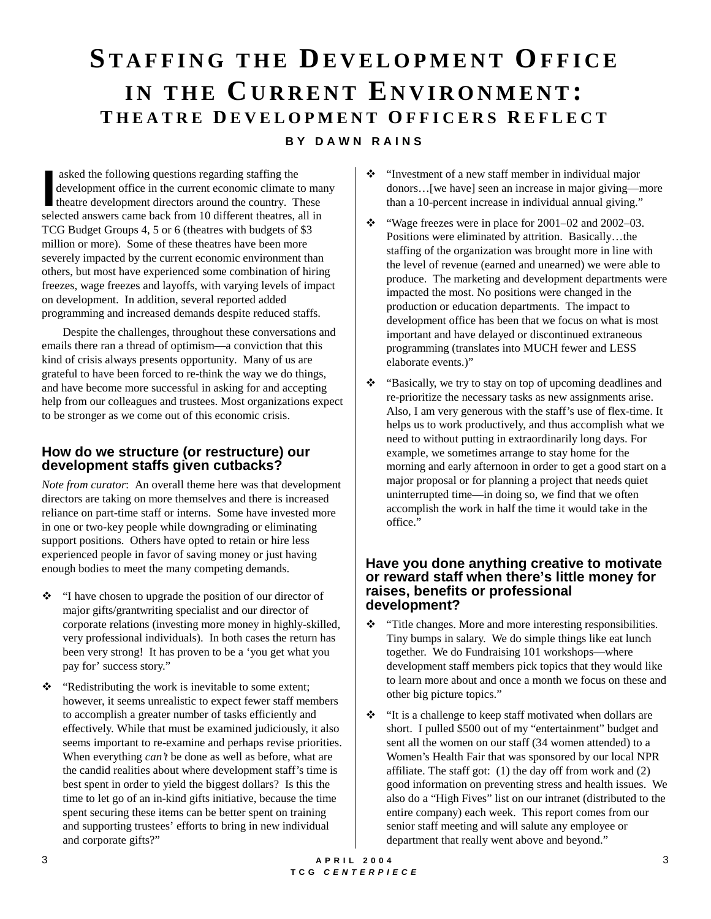# **STAFFING THE DEVELOPMENT OFFICE** IN THE CURRENT ENVIRONMENT: **T HEATRE D EVELOPMENT O FFICERS R EFLECT BY DAWN RAINS**

 asked the following questions regarding staffing the development office in the current economic climate to many theatre development directors around the country. These asked the following questions regarding staffing the development office in the current economic climate to mathemate the steed answers came back from 10 different theatres, all in TCG Budget Groups 4, 5 or 6 (theatres with budgets of \$3 million or more). Some of these theatres have been more severely impacted by the current economic environment than others, but most have experienced some combination of hiring freezes, wage freezes and layoffs, with varying levels of impact on development. In addition, several reported added programming and increased demands despite reduced staffs.

Despite the challenges, throughout these conversations and emails there ran a thread of optimism—a conviction that this kind of crisis always presents opportunity. Many of us are grateful to have been forced to re-think the way we do things, and have become more successful in asking for and accepting help from our colleagues and trustees. Most organizations expect to be stronger as we come out of this economic crisis.

### **How do we structure (or restructure) our development staffs given cutbacks?**

*Note from curator*: An overall theme here was that development directors are taking on more themselves and there is increased reliance on part-time staff or interns. Some have invested more in one or two-key people while downgrading or eliminating support positions. Others have opted to retain or hire less experienced people in favor of saving money or just having enough bodies to meet the many competing demands.

- $\cdot \cdot$  "I have chosen to upgrade the position of our director of major gifts/grantwriting specialist and our director of corporate relations (investing more money in highly-skilled, very professional individuals). In both cases the return has been very strong! It has proven to be a 'you get what you pay for' success story."
- $\triangleleft$  "Redistributing the work is inevitable to some extent; however, it seems unrealistic to expect fewer staff members to accomplish a greater number of tasks efficiently and effectively. While that must be examined judiciously, it also seems important to re-examine and perhaps revise priorities. When everything *can't* be done as well as before, what are the candid realities about where development staff's time is best spent in order to yield the biggest dollars? Is this the time to let go of an in-kind gifts initiative, because the time spent securing these items can be better spent on training and supporting trustees' efforts to bring in new individual and corporate gifts?"
- $\cdot$  "Investment of a new staff member in individual major donors…[we have] seen an increase in major giving—more than a 10-percent increase in individual annual giving."
- $\cdot \cdot$  "Wage freezes were in place for 2001–02 and 2002–03. Positions were eliminated by attrition. Basically…the staffing of the organization was brought more in line with the level of revenue (earned and unearned) we were able to produce. The marketing and development departments were impacted the most. No positions were changed in the production or education departments. The impact to development office has been that we focus on what is most important and have delayed or discontinued extraneous programming (translates into MUCH fewer and LESS elaborate events.)"
- ! "Basically, we try to stay on top of upcoming deadlines and re-prioritize the necessary tasks as new assignments arise. Also, I am very generous with the staff's use of flex-time. It helps us to work productively, and thus accomplish what we need to without putting in extraordinarily long days. For example, we sometimes arrange to stay home for the morning and early afternoon in order to get a good start on a major proposal or for planning a project that needs quiet uninterrupted time—in doing so, we find that we often accomplish the work in half the time it would take in the office."

#### **Have you done anything creative to motivate or reward staff when there's little money for raises, benefits or professional development?**

- \* "Title changes. More and more interesting responsibilities. Tiny bumps in salary. We do simple things like eat lunch together. We do Fundraising 101 workshops—where development staff members pick topics that they would like to learn more about and once a month we focus on these and other big picture topics."
- ! "It is a challenge to keep staff motivated when dollars are short. I pulled \$500 out of my "entertainment" budget and sent all the women on our staff (34 women attended) to a Women's Health Fair that was sponsored by our local NPR affiliate. The staff got: (1) the day off from work and (2) good information on preventing stress and health issues. We also do a "High Fives" list on our intranet (distributed to the entire company) each week. This report comes from our senior staff meeting and will salute any employee or department that really went above and beyond."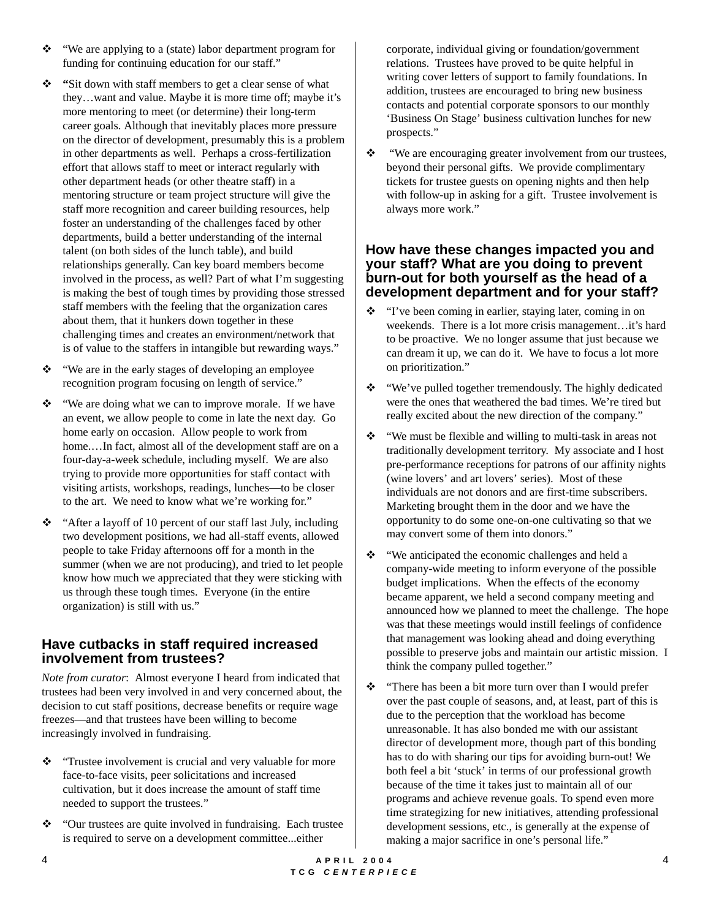- $\cdot \cdot$  "We are applying to a (state) labor department program for funding for continuing education for our staff."
- $\div$  "Sit down with staff members to get a clear sense of what they…want and value. Maybe it is more time off; maybe it's more mentoring to meet (or determine) their long-term career goals. Although that inevitably places more pressure on the director of development, presumably this is a problem in other departments as well. Perhaps a cross-fertilization effort that allows staff to meet or interact regularly with other department heads (or other theatre staff) in a mentoring structure or team project structure will give the staff more recognition and career building resources, help foster an understanding of the challenges faced by other departments, build a better understanding of the internal talent (on both sides of the lunch table), and build relationships generally. Can key board members become involved in the process, as well? Part of what I'm suggesting is making the best of tough times by providing those stressed staff members with the feeling that the organization cares about them, that it hunkers down together in these challenging times and creates an environment/network that is of value to the staffers in intangible but rewarding ways."
- \* "We are in the early stages of developing an employee" recognition program focusing on length of service."
- ! "We are doing what we can to improve morale. If we have an event, we allow people to come in late the next day. Go home early on occasion. Allow people to work from home.…In fact, almost all of the development staff are on a four-day-a-week schedule, including myself. We are also trying to provide more opportunities for staff contact with visiting artists, workshops, readings, lunches—to be closer to the art. We need to know what we're working for."
- \* "After a layoff of 10 percent of our staff last July, including two development positions, we had all-staff events, allowed people to take Friday afternoons off for a month in the summer (when we are not producing), and tried to let people know how much we appreciated that they were sticking with us through these tough times. Everyone (in the entire organization) is still with us."

### **Have cutbacks in staff required increased involvement from trustees?**

*Note from curator*: Almost everyone I heard from indicated that trustees had been very involved in and very concerned about, the decision to cut staff positions, decrease benefits or require wage freezes—and that trustees have been willing to become increasingly involved in fundraising.

- $\cdot \cdot$  "Trustee involvement is crucial and very valuable for more face-to-face visits, peer solicitations and increased cultivation, but it does increase the amount of staff time needed to support the trustees."
- \* "Our trustees are quite involved in fundraising. Each trustee is required to serve on a development committee...either

corporate, individual giving or foundation/government relations. Trustees have proved to be quite helpful in writing cover letters of support to family foundations. In addition, trustees are encouraged to bring new business contacts and potential corporate sponsors to our monthly 'Business On Stage' business cultivation lunches for new prospects."

\* "We are encouraging greater involvement from our trustees, beyond their personal gifts. We provide complimentary tickets for trustee guests on opening nights and then help with follow-up in asking for a gift. Trustee involvement is always more work."

#### **How have these changes impacted you and your staff? What are you doing to prevent burn-out for both yourself as the head of a development department and for your staff?**

- "I've been coming in earlier, staying later, coming in on weekends. There is a lot more crisis management…it's hard to be proactive. We no longer assume that just because we can dream it up, we can do it. We have to focus a lot more on prioritization."
- \* "We've pulled together tremendously. The highly dedicated were the ones that weathered the bad times. We're tired but really excited about the new direction of the company."
- $\mathbf{\hat{P}}$  "We must be flexible and willing to multi-task in areas not traditionally development territory. My associate and I host pre-performance receptions for patrons of our affinity nights (wine lovers' and art lovers' series). Most of these individuals are not donors and are first-time subscribers. Marketing brought them in the door and we have the opportunity to do some one-on-one cultivating so that we may convert some of them into donors."
- $\cdot \cdot$  "We anticipated the economic challenges and held a company-wide meeting to inform everyone of the possible budget implications. When the effects of the economy became apparent, we held a second company meeting and announced how we planned to meet the challenge. The hope was that these meetings would instill feelings of confidence that management was looking ahead and doing everything possible to preserve jobs and maintain our artistic mission. I think the company pulled together."
- \* "There has been a bit more turn over than I would prefer over the past couple of seasons, and, at least, part of this is due to the perception that the workload has become unreasonable. It has also bonded me with our assistant director of development more, though part of this bonding has to do with sharing our tips for avoiding burn-out! We both feel a bit 'stuck' in terms of our professional growth because of the time it takes just to maintain all of our programs and achieve revenue goals. To spend even more time strategizing for new initiatives, attending professional development sessions, etc., is generally at the expense of making a major sacrifice in one's personal life."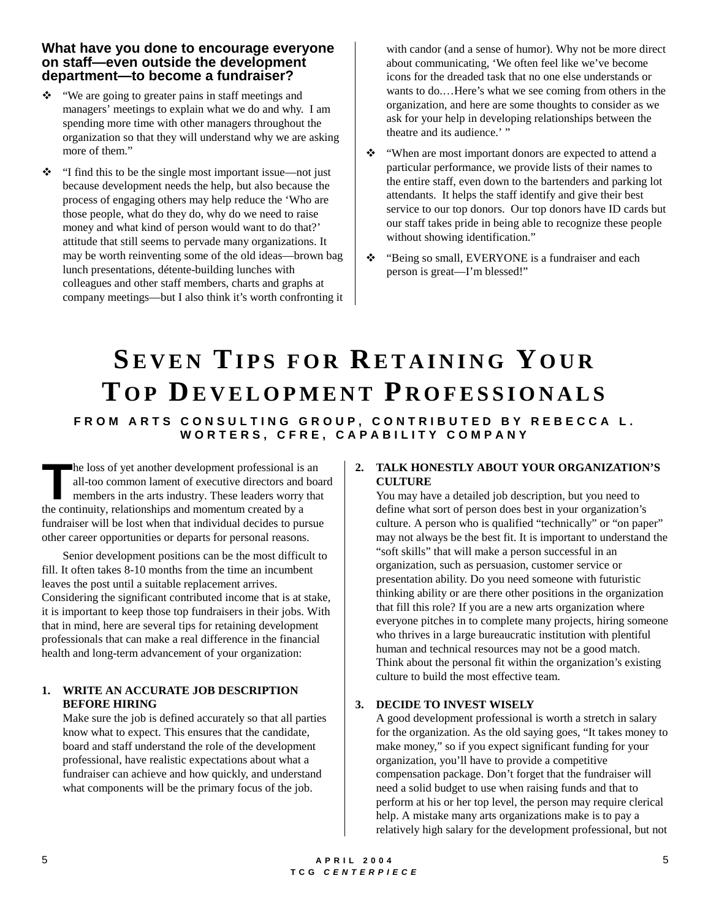#### **What have you done to encourage everyone on staff—even outside the development department—to become a fundraiser?**

- \* "We are going to greater pains in staff meetings and managers' meetings to explain what we do and why. I am spending more time with other managers throughout the organization so that they will understand why we are asking more of them."
- $\cdot \cdot$  "I find this to be the single most important issue—not just because development needs the help, but also because the process of engaging others may help reduce the 'Who are those people, what do they do, why do we need to raise money and what kind of person would want to do that?' attitude that still seems to pervade many organizations. It may be worth reinventing some of the old ideas—brown bag lunch presentations, détente-building lunches with colleagues and other staff members, charts and graphs at company meetings—but I also think it's worth confronting it

with candor (and a sense of humor). Why not be more direct about communicating, 'We often feel like we've become icons for the dreaded task that no one else understands or wants to do.…Here's what we see coming from others in the organization, and here are some thoughts to consider as we ask for your help in developing relationships between the theatre and its audience.' "

- \* "When are most important donors are expected to attend a particular performance, we provide lists of their names to the entire staff, even down to the bartenders and parking lot attendants. It helps the staff identify and give their best service to our top donors. Our top donors have ID cards but our staff takes pride in being able to recognize these people without showing identification."
- \* "Being so small, EVERYONE is a fundraiser and each" person is great—I'm blessed!"

# **SEVEN TIPS FOR RETAINING Y OUR T OP DEVELOPMENT P ROFESSIONALS FROM ARTS CONSULTING GROUP, CONTRIBUTED BY REBECCA L. WORTERS, CFRE, CAPABILITY COMPANY**

he loss of yet another development professional is an all-too common lament of executive directors and board members in the arts industry. These leaders worry that The loss of yet another development professional is<br>all-too common lament of executive directors and<br>members in the arts industry. These leaders worry<br>the continuity, relationships and momentum created by a fundraiser will be lost when that individual decides to pursue other career opportunities or departs for personal reasons.

Senior development positions can be the most difficult to fill. It often takes 8-10 months from the time an incumbent leaves the post until a suitable replacement arrives. Considering the significant contributed income that is at stake, it is important to keep those top fundraisers in their jobs. With that in mind, here are several tips for retaining development professionals that can make a real difference in the financial health and long-term advancement of your organization:

#### **1. WRITE AN ACCURATE JOB DESCRIPTION BEFORE HIRING**

Make sure the job is defined accurately so that all parties know what to expect. This ensures that the candidate, board and staff understand the role of the development professional, have realistic expectations about what a fundraiser can achieve and how quickly, and understand what components will be the primary focus of the job.

#### **2. TALK HONESTLY ABOUT YOUR ORGANIZATION'S CULTURE**

You may have a detailed job description, but you need to define what sort of person does best in your organization's culture. A person who is qualified "technically" or "on paper" may not always be the best fit. It is important to understand the "soft skills" that will make a person successful in an organization, such as persuasion, customer service or presentation ability. Do you need someone with futuristic thinking ability or are there other positions in the organization that fill this role? If you are a new arts organization where everyone pitches in to complete many projects, hiring someone who thrives in a large bureaucratic institution with plentiful human and technical resources may not be a good match. Think about the personal fit within the organization's existing culture to build the most effective team.

#### **3. DECIDE TO INVEST WISELY**

A good development professional is worth a stretch in salary for the organization. As the old saying goes, "It takes money to make money," so if you expect significant funding for your organization, you'll have to provide a competitive compensation package. Don't forget that the fundraiser will need a solid budget to use when raising funds and that to perform at his or her top level, the person may require clerical help. A mistake many arts organizations make is to pay a relatively high salary for the development professional, but not